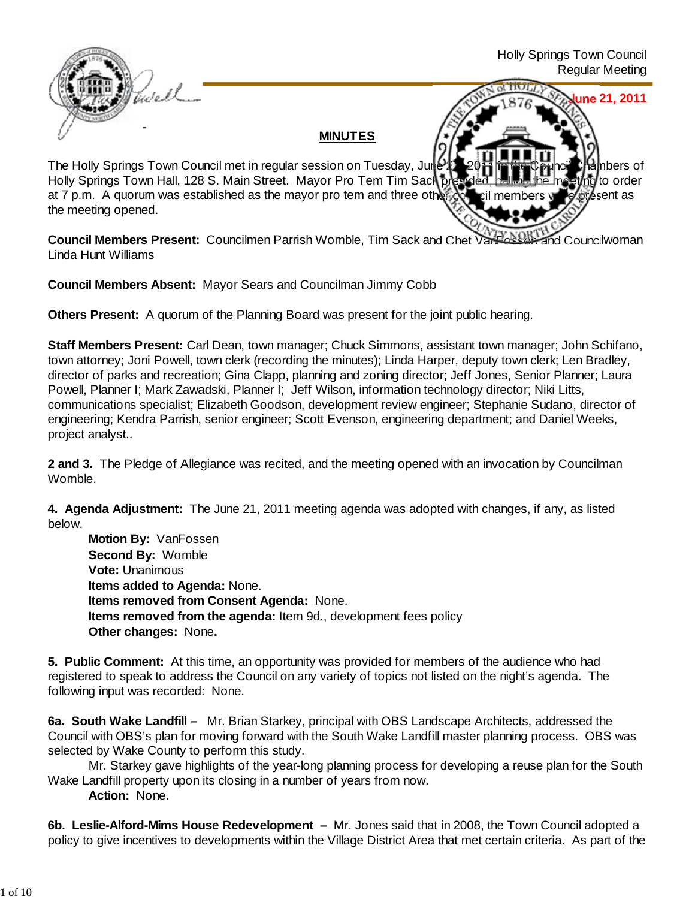

**Council Members Present:** Councilmen Parrish Womble, Tim Sack and Chet VanFossen and Councilwoman Linda Hunt Williams

**Council Members Absent:** Mayor Sears and Councilman Jimmy Cobb

**Others Present:** A quorum of the Planning Board was present for the joint public hearing.

**Staff Members Present:** Carl Dean, town manager; Chuck Simmons, assistant town manager; John Schifano, town attorney; Joni Powell, town clerk (recording the minutes); Linda Harper, deputy town clerk; Len Bradley, director of parks and recreation; Gina Clapp, planning and zoning director; Jeff Jones, Senior Planner; Laura Powell, Planner I; Mark Zawadski, Planner I; Jeff Wilson, information technology director; Niki Litts, communications specialist; Elizabeth Goodson, development review engineer; Stephanie Sudano, director of engineering; Kendra Parrish, senior engineer; Scott Evenson, engineering department; and Daniel Weeks, project analyst..

**2 and 3.** The Pledge of Allegiance was recited, and the meeting opened with an invocation by Councilman Womble.

**4. Agenda Adjustment:** The June 21, 2011 meeting agenda was adopted with changes, if any, as listed below.

**Motion By: VanFossen Second By:** Womble **Vote:** Unanimous **Items added to Agenda:** None. **Items removed from Consent Agenda:** None. **Items removed from the agenda:** Item 9d., development fees policy **Other changes:** None**.**

**5. Public Comment:** At this time, an opportunity was provided for members of the audience who had registered to speak to address the Council on any variety of topics not listed on the night's agenda. The following input was recorded: None.

**6a. South Wake Landfill –** Mr. Brian Starkey, principal with OBS Landscape Architects, addressed the Council with OBS's plan for moving forward with the South Wake Landfill master planning process. OBS was selected by Wake County to perform this study.

 Mr. Starkey gave highlights of the year-long planning process for developing a reuse plan for the South Wake Landfill property upon its closing in a number of years from now.

**Action:** None.

**6b. Leslie-Alford-Mims House Redevelopment –** Mr. Jones said that in 2008, the Town Council adopted a policy to give incentives to developments within the Village District Area that met certain criteria. As part of the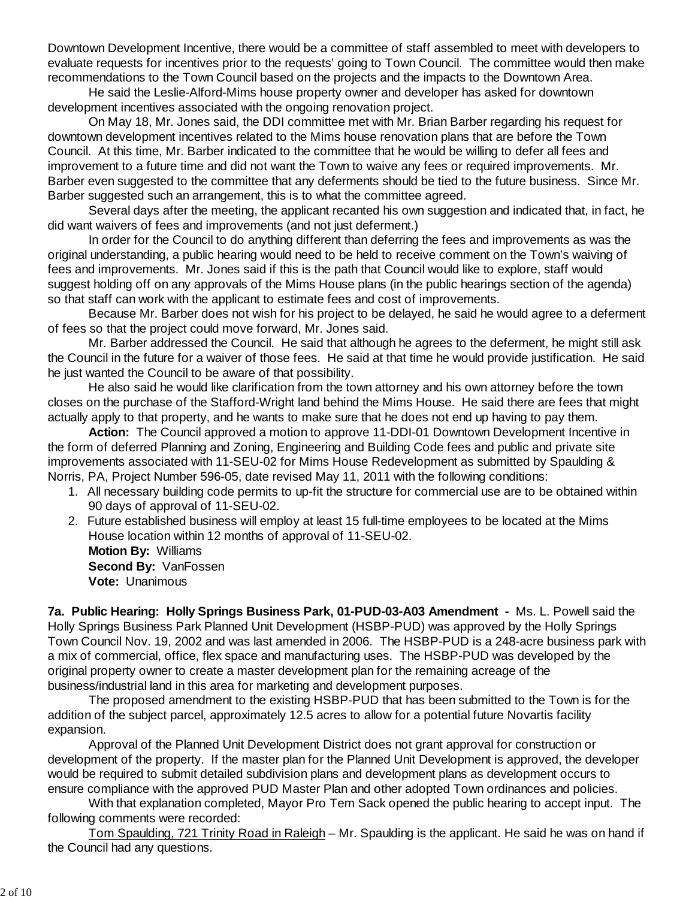Downtown Development Incentive, there would be a committee of staff assembled to meet with developers to evaluate requests for incentives prior to the requests' going to Town Council. The committee would then make recommendations to the Town Council based on the projects and the impacts to the Downtown Area.

 He said the Leslie-Alford-Mims house property owner and developer has asked for downtown development incentives associated with the ongoing renovation project.

 On May 18, Mr. Jones said, the DDI committee met with Mr. Brian Barber regarding his request for downtown development incentives related to the Mims house renovation plans that are before the Town Council. At this time, Mr. Barber indicated to the committee that he would be willing to defer all fees and improvement to a future time and did not want the Town to waive any fees or required improvements. Mr. Barber even suggested to the committee that any deferments should be tied to the future business. Since Mr. Barber suggested such an arrangement, this is to what the committee agreed.

 Several days after the meeting, the applicant recanted his own suggestion and indicated that, in fact, he did want waivers of fees and improvements (and not just deferment.)

 In order for the Council to do anything different than deferring the fees and improvements as was the original understanding, a public hearing would need to be held to receive comment on the Town's waiving of fees and improvements. Mr. Jones said if this is the path that Council would like to explore, staff would suggest holding off on any approvals of the Mims House plans (in the public hearings section of the agenda) so that staff can work with the applicant to estimate fees and cost of improvements.

Because Mr. Barber does not wish for his project to be delayed, he said he would agree to a deferment of fees so that the project could move forward, Mr. Jones said.

Mr. Barber addressed the Council. He said that although he agrees to the deferment, he might still ask the Council in the future for a waiver of those fees. He said at that time he would provide justification. He said he just wanted the Council to be aware of that possibility.

He also said he would like clarification from the town attorney and his own attorney before the town closes on the purchase of the Stafford-Wright land behind the Mims House. He said there are fees that might actually apply to that property, and he wants to make sure that he does not end up having to pay them.

 **Action:** The Council approved a motion to approve 11-DDI-01 Downtown Development Incentive in the form of deferred Planning and Zoning, Engineering and Building Code fees and public and private site improvements associated with 11-SEU-02 for Mims House Redevelopment as submitted by Spaulding & Norris, PA, Project Number 596-05, date revised May 11, 2011 with the following conditions:

- 1. All necessary building code permits to up-fit the structure for commercial use are to be obtained within 90 days of approval of 11-SEU-02.
- 2. Future established business will employ at least 15 full-time employees to be located at the Mims House location within 12 months of approval of 11-SEU-02.

**Motion By:** Williams **Second By:** VanFossen **Vote:** Unanimous

**7a. Public Hearing: Holly Springs Business Park, 01-PUD-03-A03 Amendment -** Ms. L. Powell said the Holly Springs Business Park Planned Unit Development (HSBP-PUD) was approved by the Holly Springs Town Council Nov. 19, 2002 and was last amended in 2006. The HSBP-PUD is a 248-acre business park with a mix of commercial, office, flex space and manufacturing uses. The HSBP-PUD was developed by the original property owner to create a master development plan for the remaining acreage of the business/industrial land in this area for marketing and development purposes.

 The proposed amendment to the existing HSBP-PUD that has been submitted to the Town is for the addition of the subject parcel, approximately 12.5 acres to allow for a potential future Novartis facility expansion.

 Approval of the Planned Unit Development District does not grant approval for construction or development of the property. If the master plan for the Planned Unit Development is approved, the developer would be required to submit detailed subdivision plans and development plans as development occurs to ensure compliance with the approved PUD Master Plan and other adopted Town ordinances and policies.

 With that explanation completed, Mayor Pro Tem Sack opened the public hearing to accept input. The following comments were recorded:

Tom Spaulding, 721 Trinity Road in Raleigh – Mr. Spaulding is the applicant. He said he was on hand if the Council had any questions.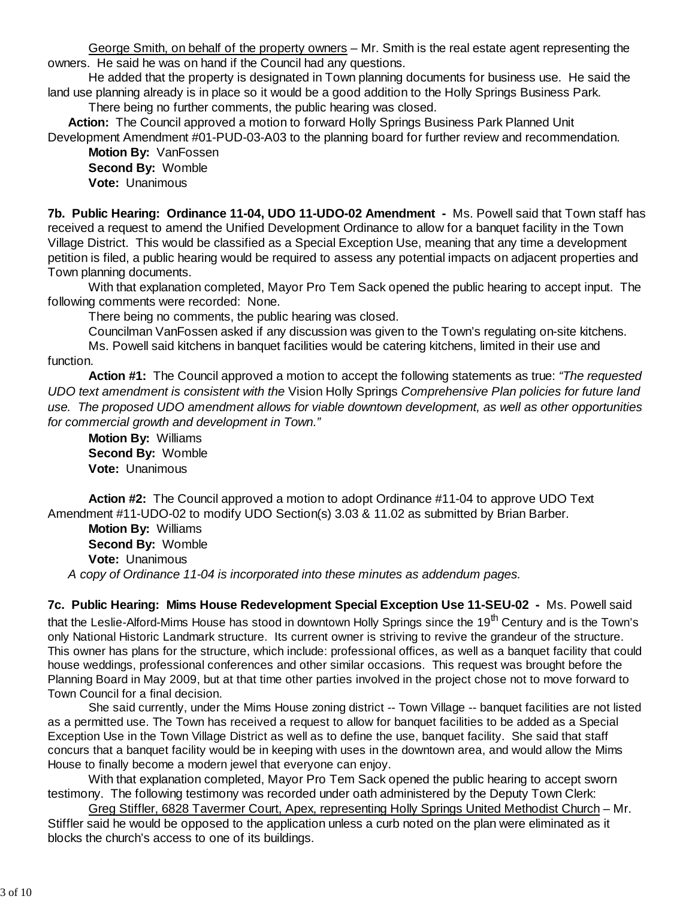George Smith, on behalf of the property owners – Mr. Smith is the real estate agent representing the owners. He said he was on hand if the Council had any questions.

He added that the property is designated in Town planning documents for business use. He said the land use planning already is in place so it would be a good addition to the Holly Springs Business Park. There being no further comments, the public hearing was closed.

**Action:** The Council approved a motion to forward Holly Springs Business Park Planned Unit Development Amendment #01-PUD-03-A03 to the planning board for further review and recommendation.

 **Motion By:** VanFossen **Second By:** Womble **Vote:** Unanimous

**7b. Public Hearing: Ordinance 11-04, UDO 11-UDO-02 Amendment -** Ms. Powell said that Town staff has received a request to amend the Unified Development Ordinance to allow for a banquet facility in the Town Village District. This would be classified as a Special Exception Use, meaning that any time a development petition is filed, a public hearing would be required to assess any potential impacts on adjacent properties and Town planning documents.

With that explanation completed, Mayor Pro Tem Sack opened the public hearing to accept input. The following comments were recorded: None.

There being no comments, the public hearing was closed.

Councilman VanFossen asked if any discussion was given to the Town's regulating on-site kitchens.

Ms. Powell said kitchens in banquet facilities would be catering kitchens, limited in their use and function.

 **Action #1:** The Council approved a motion to accept the following statements as true: *"The requested UDO text amendment is consistent with the* Vision Holly Springs *Comprehensive Plan policies for future land use. The proposed UDO amendment allows for viable downtown development, as well as other opportunities for commercial growth and development in Town."*

 **Motion By:** Williams **Second By:** Womble **Vote:** Unanimous

**Action #2:** The Council approved a motion to adopt Ordinance #11-04 to approve UDO Text Amendment #11-UDO-02 to modify UDO Section(s) 3.03 & 11.02 as submitted by Brian Barber.

 **Motion By:** Williams **Second By:** Womble **Vote:** Unanimous *A copy of Ordinance 11-04 is incorporated into these minutes as addendum pages.*

**7c. Public Hearing: Mims House Redevelopment Special Exception Use 11-SEU-02 -** Ms. Powell said that the Leslie-Alford-Mims House has stood in downtown Holly Springs since the 19<sup>th</sup> Century and is the Town's only National Historic Landmark structure. Its current owner is striving to revive the grandeur of the structure. This owner has plans for the structure, which include: professional offices, as well as a banquet facility that could house weddings, professional conferences and other similar occasions. This request was brought before the Planning Board in May 2009, but at that time other parties involved in the project chose not to move forward to Town Council for a final decision.

 She said currently, under the Mims House zoning district -- Town Village -- banquet facilities are not listed as a permitted use. The Town has received a request to allow for banquet facilities to be added as a Special Exception Use in the Town Village District as well as to define the use, banquet facility. She said that staff concurs that a banquet facility would be in keeping with uses in the downtown area, and would allow the Mims House to finally become a modern jewel that everyone can enjoy.

With that explanation completed, Mayor Pro Tem Sack opened the public hearing to accept sworn testimony. The following testimony was recorded under oath administered by the Deputy Town Clerk:

 Greg Stiffler, 6828 Tavermer Court, Apex, representing Holly Springs United Methodist Church – Mr. Stiffler said he would be opposed to the application unless a curb noted on the plan were eliminated as it blocks the church's access to one of its buildings.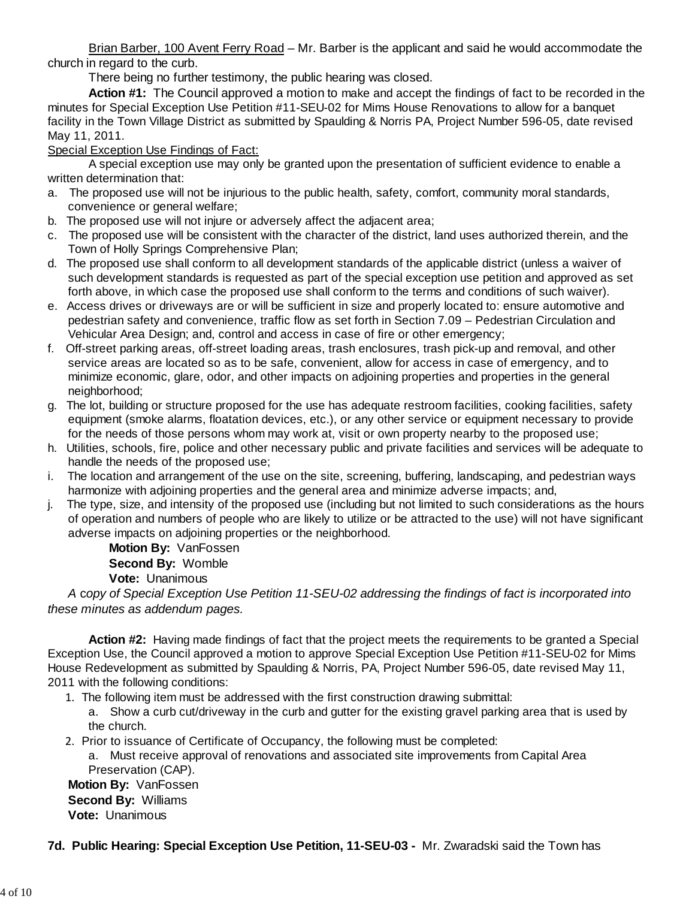Brian Barber, 100 Avent Ferry Road – Mr. Barber is the applicant and said he would accommodate the church in regard to the curb.

There being no further testimony, the public hearing was closed.

 **Action #1:** The Council approved a motion to make and accept the findings of fact to be recorded in the minutes for Special Exception Use Petition #11-SEU-02 for Mims House Renovations to allow for a banquet facility in the Town Village District as submitted by Spaulding & Norris PA, Project Number 596-05, date revised May 11, 2011.

## Special Exception Use Findings of Fact:

 A special exception use may only be granted upon the presentation of sufficient evidence to enable a written determination that:

- a. The proposed use will not be injurious to the public health, safety, comfort, community moral standards, convenience or general welfare;
- b. The proposed use will not injure or adversely affect the adjacent area;
- c. The proposed use will be consistent with the character of the district, land uses authorized therein, and the Town of Holly Springs Comprehensive Plan;
- d. The proposed use shall conform to all development standards of the applicable district (unless a waiver of such development standards is requested as part of the special exception use petition and approved as set forth above, in which case the proposed use shall conform to the terms and conditions of such waiver).
- e. Access drives or driveways are or will be sufficient in size and properly located to: ensure automotive and pedestrian safety and convenience, traffic flow as set forth in Section 7.09 – Pedestrian Circulation and Vehicular Area Design; and, control and access in case of fire or other emergency;
- f. Off-street parking areas, off-street loading areas, trash enclosures, trash pick-up and removal, and other service areas are located so as to be safe, convenient, allow for access in case of emergency, and to minimize economic, glare, odor, and other impacts on adjoining properties and properties in the general neighborhood;
- g. The lot, building or structure proposed for the use has adequate restroom facilities, cooking facilities, safety equipment (smoke alarms, floatation devices, etc.), or any other service or equipment necessary to provide for the needs of those persons whom may work at, visit or own property nearby to the proposed use;
- h. Utilities, schools, fire, police and other necessary public and private facilities and services will be adequate to handle the needs of the proposed use;
- i. The location and arrangement of the use on the site, screening, buffering, landscaping, and pedestrian ways harmonize with adjoining properties and the general area and minimize adverse impacts; and,
- j. The type, size, and intensity of the proposed use (including but not limited to such considerations as the hours of operation and numbers of people who are likely to utilize or be attracted to the use) will not have significant adverse impacts on adjoining properties or the neighborhood.

**Motion By:** VanFossen **Second By:** Womble **Vote:** Unanimous

*A* c*opy of Special Exception Use Petition 11-SEU-02 addressing the findings of fact is incorporated into these minutes as addendum pages.*

**Action #2:** Having made findings of fact that the project meets the requirements to be granted a Special Exception Use, the Council approved a motion to approve Special Exception Use Petition #11-SEU-02 for Mims House Redevelopment as submitted by Spaulding & Norris, PA, Project Number 596-05, date revised May 11, 2011 with the following conditions:

- 1. The following item must be addressed with the first construction drawing submittal:
	- a. Show a curb cut/driveway in the curb and gutter for the existing gravel parking area that is used by the church.
- 2. Prior to issuance of Certificate of Occupancy, the following must be completed:
	- a. Must receive approval of renovations and associated site improvements from Capital Area Preservation (CAP).

**Motion By:** VanFossen **Second By:** Williams **Vote:** Unanimous

### **7d. Public Hearing: Special Exception Use Petition, 11-SEU-03 -** Mr. Zwaradski said the Town has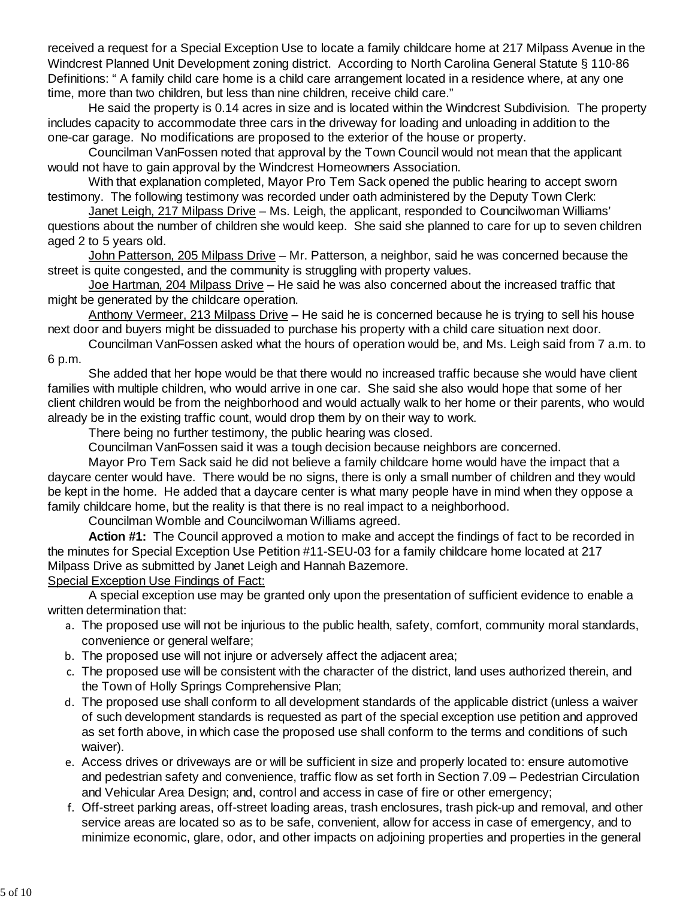received a request for a Special Exception Use to locate a family childcare home at 217 Milpass Avenue in the Windcrest Planned Unit Development zoning district. According to North Carolina General Statute § 110‑86 Definitions: " A family child care home is a child care arrangement located in a residence where, at any one time, more than two children, but less than nine children, receive child care."

He said the property is 0.14 acres in size and is located within the Windcrest Subdivision. The property includes capacity to accommodate three cars in the driveway for loading and unloading in addition to the one-car garage. No modifications are proposed to the exterior of the house or property.

Councilman VanFossen noted that approval by the Town Council would not mean that the applicant would not have to gain approval by the Windcrest Homeowners Association.

With that explanation completed, Mayor Pro Tem Sack opened the public hearing to accept sworn testimony. The following testimony was recorded under oath administered by the Deputy Town Clerk:

Janet Leigh, 217 Milpass Drive – Ms. Leigh, the applicant, responded to Councilwoman Williams' questions about the number of children she would keep. She said she planned to care for up to seven children aged 2 to 5 years old.

John Patterson, 205 Milpass Drive – Mr. Patterson, a neighbor, said he was concerned because the street is quite congested, and the community is struggling with property values.

Joe Hartman, 204 Milpass Drive – He said he was also concerned about the increased traffic that might be generated by the childcare operation.

Anthony Vermeer, 213 Milpass Drive – He said he is concerned because he is trying to sell his house next door and buyers might be dissuaded to purchase his property with a child care situation next door.

Councilman VanFossen asked what the hours of operation would be, and Ms. Leigh said from 7 a.m. to 6 p.m.

She added that her hope would be that there would no increased traffic because she would have client families with multiple children, who would arrive in one car. She said she also would hope that some of her client children would be from the neighborhood and would actually walk to her home or their parents, who would already be in the existing traffic count, would drop them by on their way to work.

There being no further testimony, the public hearing was closed.

Councilman VanFossen said it was a tough decision because neighbors are concerned.

Mayor Pro Tem Sack said he did not believe a family childcare home would have the impact that a daycare center would have. There would be no signs, there is only a small number of children and they would be kept in the home. He added that a daycare center is what many people have in mind when they oppose a family childcare home, but the reality is that there is no real impact to a neighborhood.

Councilman Womble and Councilwoman Williams agreed.

 **Action #1:** The Council approved a motion to make and accept the findings of fact to be recorded in the minutes for Special Exception Use Petition #11-SEU-03 for a family childcare home located at 217 Milpass Drive as submitted by Janet Leigh and Hannah Bazemore.

Special Exception Use Findings of Fact:

 A special exception use may be granted only upon the presentation of sufficient evidence to enable a written determination that:

- The proposed use will not be injurious to the public health, safety, comfort, community moral standards, a. convenience or general welfare;
- b. The proposed use will not injure or adversely affect the adjacent area;
- The proposed use will be consistent with the character of the district, land uses authorized therein, and c. the Town of Holly Springs Comprehensive Plan;
- The proposed use shall conform to all development standards of the applicable district (unless a waiver d. of such development standards is requested as part of the special exception use petition and approved as set forth above, in which case the proposed use shall conform to the terms and conditions of such waiver).
- e. Access drives or driveways are or will be sufficient in size and properly located to: ensure automotive and pedestrian safety and convenience, traffic flow as set forth in Section 7.09 – Pedestrian Circulation and Vehicular Area Design; and, control and access in case of fire or other emergency;
- Off-street parking areas, off-street loading areas, trash enclosures, trash pick-up and removal, and other f. service areas are located so as to be safe, convenient, allow for access in case of emergency, and to minimize economic, glare, odor, and other impacts on adjoining properties and properties in the general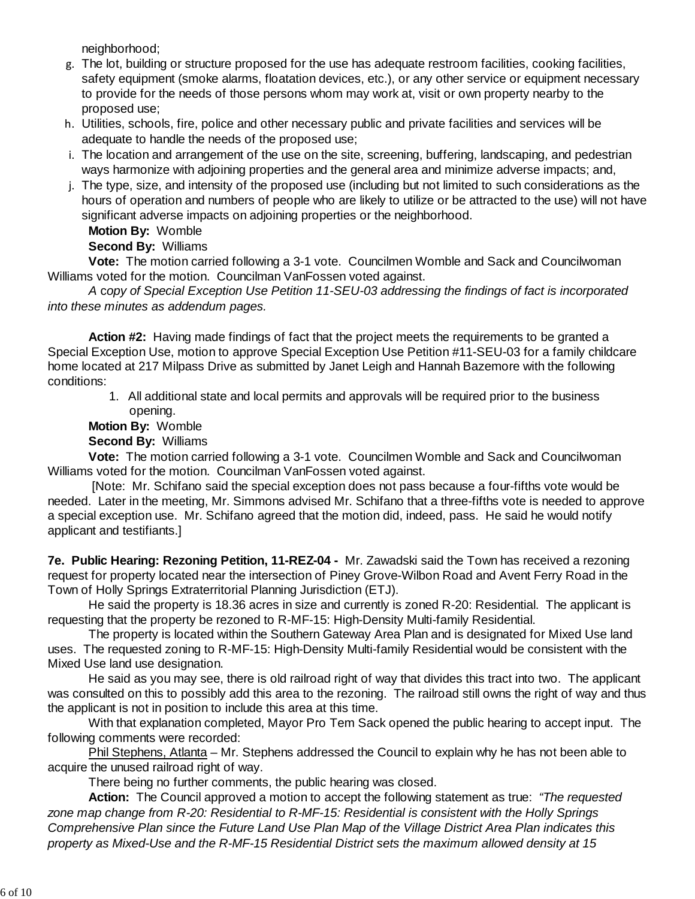neighborhood;

- The lot, building or structure proposed for the use has adequate restroom facilities, cooking facilities, g. safety equipment (smoke alarms, floatation devices, etc.), or any other service or equipment necessary to provide for the needs of those persons whom may work at, visit or own property nearby to the proposed use;
- Utilities, schools, fire, police and other necessary public and private facilities and services will be h. adequate to handle the needs of the proposed use;
- The location and arrangement of the use on the site, screening, buffering, landscaping, and pedestrian i. ways harmonize with adjoining properties and the general area and minimize adverse impacts; and,
- The type, size, and intensity of the proposed use (including but not limited to such considerations as the j. hours of operation and numbers of people who are likely to utilize or be attracted to the use) will not have significant adverse impacts on adjoining properties or the neighborhood.

**Motion By:** Womble

**Second By:** Williams

 **Vote:** The motion carried following a 3-1 vote. Councilmen Womble and Sack and Councilwoman Williams voted for the motion. Councilman VanFossen voted against.

 *A* c*opy of Special Exception Use Petition 11-SEU-03 addressing the findings of fact is incorporated into these minutes as addendum pages.*

**Action #2:** Having made findings of fact that the project meets the requirements to be granted a Special Exception Use, motion to approve Special Exception Use Petition #11-SEU-03 for a family childcare home located at 217 Milpass Drive as submitted by Janet Leigh and Hannah Bazemore with the following conditions:

1. All additional state and local permits and approvals will be required prior to the business opening.

**Motion By:** Womble

**Second By:** Williams

 **Vote:** The motion carried following a 3-1 vote. Councilmen Womble and Sack and Councilwoman Williams voted for the motion. Councilman VanFossen voted against.

 [Note: Mr. Schifano said the special exception does not pass because a four-fifths vote would be needed. Later in the meeting, Mr. Simmons advised Mr. Schifano that a three-fifths vote is needed to approve a special exception use. Mr. Schifano agreed that the motion did, indeed, pass. He said he would notify applicant and testifiants.]

**7e. Public Hearing: Rezoning Petition, 11-REZ-04 -** Mr. Zawadski said the Town has received a rezoning request for property located near the intersection of Piney Grove-Wilbon Road and Avent Ferry Road in the Town of Holly Springs Extraterritorial Planning Jurisdiction (ETJ).

He said the property is 18.36 acres in size and currently is zoned R-20: Residential. The applicant is requesting that the property be rezoned to R-MF-15: High-Density Multi-family Residential.

The property is located within the Southern Gateway Area Plan and is designated for Mixed Use land uses. The requested zoning to R-MF-15: High-Density Multi-family Residential would be consistent with the Mixed Use land use designation.

He said as you may see, there is old railroad right of way that divides this tract into two. The applicant was consulted on this to possibly add this area to the rezoning. The railroad still owns the right of way and thus the applicant is not in position to include this area at this time.

With that explanation completed, Mayor Pro Tem Sack opened the public hearing to accept input. The following comments were recorded:

Phil Stephens, Atlanta – Mr. Stephens addressed the Council to explain why he has not been able to acquire the unused railroad right of way.

There being no further comments, the public hearing was closed.

 **Action:** The Council approved a motion to accept the following statement as true: *"The requested zone map change from R-20: Residential to R-MF-15: Residential is consistent with the Holly Springs Comprehensive Plan since the Future Land Use Plan Map of the Village District Area Plan indicates this property as Mixed-Use and the R-MF-15 Residential District sets the maximum allowed density at 15*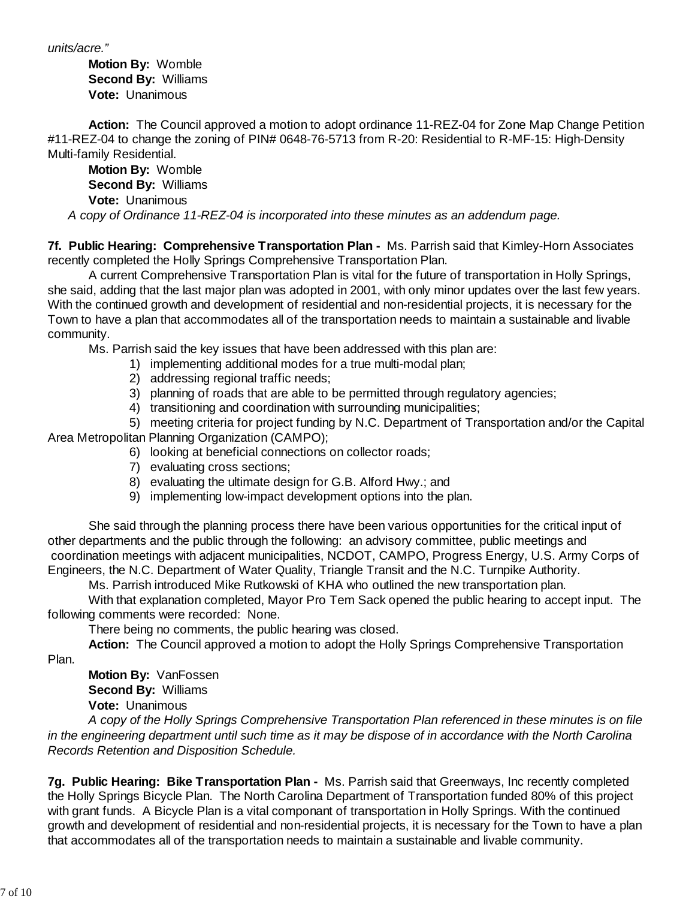*units/acre."*

 **Motion By:** Womble **Second By:** Williams **Vote:** Unanimous

**Action:** The Council approved a motion to adopt ordinance 11-REZ-04 for Zone Map Change Petition #11-REZ-04 to change the zoning of PIN# 0648-76-5713 from R-20: Residential to R-MF-15: High-Density Multi-family Residential.

 **Motion By:** Womble **Second By:** Williams **Vote:** Unanimous

*A copy of Ordinance 11-REZ-04 is incorporated into these minutes as an addendum page.*

**7f. Public Hearing: Comprehensive Transportation Plan -** Ms. Parrish said that Kimley-Horn Associates recently completed the Holly Springs Comprehensive Transportation Plan.

 A current Comprehensive Transportation Plan is vital for the future of transportation in Holly Springs, she said, adding that the last major plan was adopted in 2001, with only minor updates over the last few years. With the continued growth and development of residential and non-residential projects, it is necessary for the Town to have a plan that accommodates all of the transportation needs to maintain a sustainable and livable community.

Ms. Parrish said the key issues that have been addressed with this plan are:

- 1) implementing additional modes for a true multi-modal plan;
- 2) addressing regional traffic needs;
- 3) planning of roads that are able to be permitted through regulatory agencies;
- 4) transitioning and coordination with surrounding municipalities;

5) meeting criteria for project funding by N.C. Department of Transportation and/or the Capital Area Metropolitan Planning Organization (CAMPO);

- 6) looking at beneficial connections on collector roads;
- 7) evaluating cross sections;
- 8) evaluating the ultimate design for G.B. Alford Hwy.; and
- 9) implementing low-impact development options into the plan.

 She said through the planning process there have been various opportunities for the critical input of other departments and the public through the following: an advisory committee, public meetings and coordination meetings with adjacent municipalities, NCDOT, CAMPO, Progress Energy, U.S. Army Corps of Engineers, the N.C. Department of Water Quality, Triangle Transit and the N.C. Turnpike Authority.

Ms. Parrish introduced Mike Rutkowski of KHA who outlined the new transportation plan.

With that explanation completed, Mayor Pro Tem Sack opened the public hearing to accept input. The following comments were recorded: None.

There being no comments, the public hearing was closed.

**Action:** The Council approved a motion to adopt the Holly Springs Comprehensive Transportation

Plan.

 **Motion By:** VanFossen **Second By:** Williams **Vote:** Unanimous

 *A copy of the Holly Springs Comprehensive Transportation Plan referenced in these minutes is on file in the engineering department until such time as it may be dispose of in accordance with the North Carolina Records Retention and Disposition Schedule.*

**7g. Public Hearing: Bike Transportation Plan -** Ms. Parrish said that Greenways, Inc recently completed the Holly Springs Bicycle Plan. The North Carolina Department of Transportation funded 80% of this project with grant funds. A Bicycle Plan is a vital componant of transportation in Holly Springs. With the continued growth and development of residential and non-residential projects, it is necessary for the Town to have a plan that accommodates all of the transportation needs to maintain a sustainable and livable community.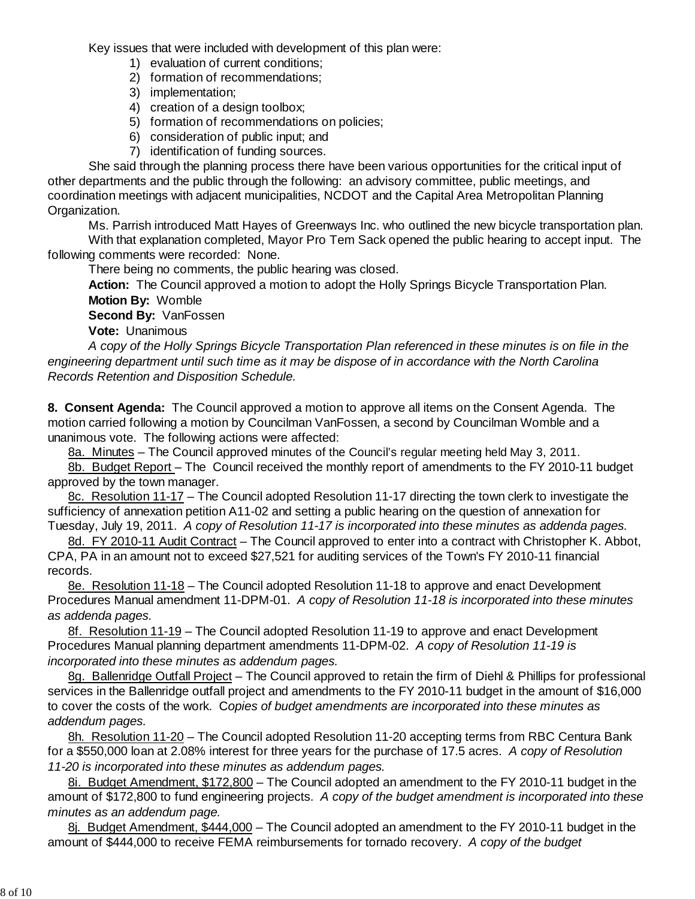Key issues that were included with development of this plan were:

- 1) evaluation of current conditions;
- 2) formation of recommendations;
- 3) implementation;
- 4) creation of a design toolbox;
- 5) formation of recommendations on policies;
- 6) consideration of public input; and
- 7) identification of funding sources.

 She said through the planning process there have been various opportunities for the critical input of other departments and the public through the following: an advisory committee, public meetings, and coordination meetings with adjacent municipalities, NCDOT and the Capital Area Metropolitan Planning Organization.

Ms. Parrish introduced Matt Hayes of Greenways Inc. who outlined the new bicycle transportation plan. With that explanation completed, Mayor Pro Tem Sack opened the public hearing to accept input. The

following comments were recorded: None.

There being no comments, the public hearing was closed.

 **Action:** The Council approved a motion to adopt the Holly Springs Bicycle Transportation Plan. **Motion By:** Womble

**Second By:** VanFossen

**Vote:** Unanimous

*A copy of the Holly Springs Bicycle Transportation Plan referenced in these minutes is on file in the engineering department until such time as it may be dispose of in accordance with the North Carolina Records Retention and Disposition Schedule.*

**8. Consent Agenda:** The Council approved a motion to approve all items on the Consent Agenda. The motion carried following a motion by Councilman VanFossen, a second by Councilman Womble and a unanimous vote. The following actions were affected:

8a. Minutes – The Council approved minutes of the Council's regular meeting held May 3, 2011.

8b. Budget Report – The Council received the monthly report of amendments to the FY 2010-11 budget approved by the town manager.

8c. Resolution 11-17 – The Council adopted Resolution 11-17 directing the town clerk to investigate the sufficiency of annexation petition A11-02 and setting a public hearing on the question of annexation for Tuesday, July 19, 2011.*A copy of Resolution 11-17 is incorporated into these minutes as addenda pages.*

8d. FY 2010-11 Audit Contract – The Council approved to enter into a contract with Christopher K. Abbot, CPA, PA in an amount not to exceed \$27,521 for auditing services of the Town's FY 2010-11 financial records.

8e. Resolution 11-18 – The Council adopted Resolution 11-18 to approve and enact Development Procedures Manual amendment 11-DPM-01. *A copy of Resolution 11-18 is incorporated into these minutes as addenda pages.*

8f. Resolution 11-19 – The Council adopted Resolution 11-19 to approve and enact Development Procedures Manual planning department amendments 11-DPM-02. *A copy of Resolution 11-19 is incorporated into these minutes as addendum pages.*

8g. Ballenridge Outfall Project – The Council approved to retain the firm of Diehl & Phillips for professional services in the Ballenridge outfall project and amendments to the FY 2010-11 budget in the amount of \$16,000 to cover the costs of the work. C*opies of budget amendments are incorporated into these minutes as addendum pages.*

8h. Resolution 11-20 – The Council adopted Resolution 11-20 accepting terms from RBC Centura Bank for a \$550,000 loan at 2.08% interest for three years for the purchase of 17.5 acres. *A copy of Resolution 11-20 is incorporated into these minutes as addendum pages.*

8i. Budget Amendment, \$172,800 – The Council adopted an amendment to the FY 2010-11 budget in the amount of \$172,800 to fund engineering projects. *A copy of the budget amendment is incorporated into these minutes as an addendum page.*

8j. Budget Amendment, \$444,000 – The Council adopted an amendment to the FY 2010-11 budget in the amount of \$444,000 to receive FEMA reimbursements for tornado recovery. *A copy of the budget*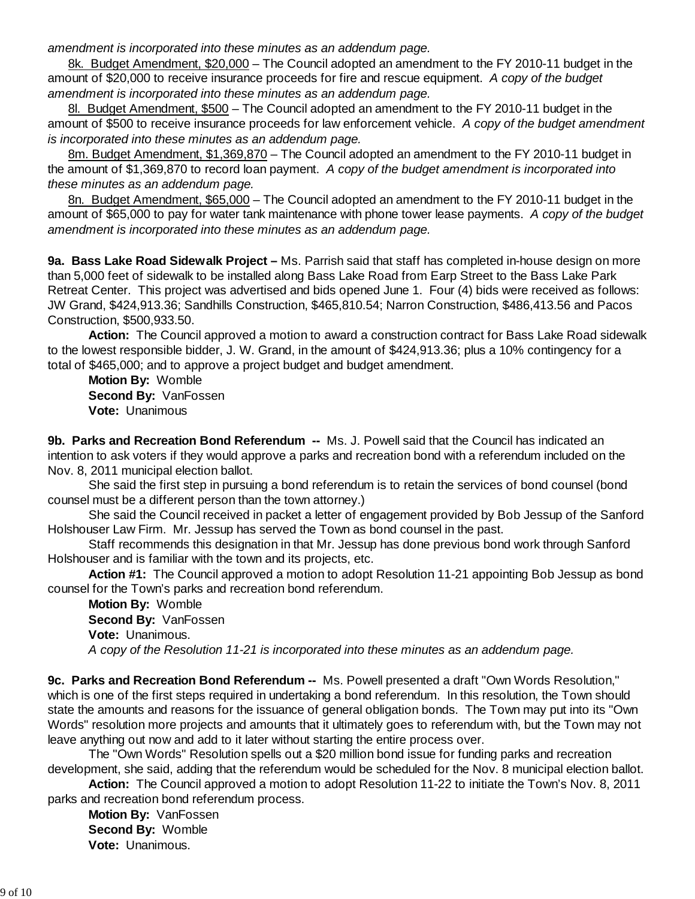*amendment is incorporated into these minutes as an addendum page.*

8k. Budget Amendment, \$20,000 – The Council adopted an amendment to the FY 2010-11 budget in the amount of \$20,000 to receive insurance proceeds for fire and rescue equipment. *A copy of the budget amendment is incorporated into these minutes as an addendum page.*

8l. Budget Amendment, \$500 - The Council adopted an amendment to the FY 2010-11 budget in the amount of \$500 to receive insurance proceeds for law enforcement vehicle. *A copy of the budget amendment is incorporated into these minutes as an addendum page.*

8m. Budget Amendment, \$1,369,870 – The Council adopted an amendment to the FY 2010-11 budget in the amount of \$1,369,870 to record loan payment. *A copy of the budget amendment is incorporated into these minutes as an addendum page.*

8n. Budget Amendment, \$65,000 – The Council adopted an amendment to the FY 2010-11 budget in the amount of \$65,000 to pay for water tank maintenance with phone tower lease payments. *A copy of the budget amendment is incorporated into these minutes as an addendum page.*

**9a. Bass Lake Road Sidewalk Project –** Ms. Parrish said that staff has completed in-house design on more than 5,000 feet of sidewalk to be installed along Bass Lake Road from Earp Street to the Bass Lake Park Retreat Center. This project was advertised and bids opened June 1. Four (4) bids were received as follows: JW Grand, \$424,913.36; Sandhills Construction, \$465,810.54; Narron Construction, \$486,413.56 and Pacos Construction, \$500,933.50.

**Action:** The Council approved a motion to award a construction contract for Bass Lake Road sidewalk to the lowest responsible bidder, J. W. Grand, in the amount of \$424,913.36; plus a 10% contingency for a total of \$465,000; and to approve a project budget and budget amendment.

**Motion By:** Womble **Second By:** VanFossen **Vote:** Unanimous

**9b. Parks and Recreation Bond Referendum --** Ms. J. Powell said that the Council has indicated an intention to ask voters if they would approve a parks and recreation bond with a referendum included on the Nov. 8, 2011 municipal election ballot.

 She said the first step in pursuing a bond referendum is to retain the services of bond counsel (bond counsel must be a different person than the town attorney.)

 She said the Council received in packet a letter of engagement provided by Bob Jessup of the Sanford Holshouser Law Firm. Mr. Jessup has served the Town as bond counsel in the past.

 Staff recommends this designation in that Mr. Jessup has done previous bond work through Sanford Holshouser and is familiar with the town and its projects, etc.

 **Action #1:** The Council approved a motion to adopt Resolution 11-21 appointing Bob Jessup as bond counsel for the Town's parks and recreation bond referendum.

 **Motion By:** Womble **Second By:** VanFossen **Vote:** Unanimous. *A copy of the Resolution 11-21 is incorporated into these minutes as an addendum page.*

**9c. Parks and Recreation Bond Referendum --** Ms. Powell presented a draft "Own Words Resolution," which is one of the first steps required in undertaking a bond referendum. In this resolution, the Town should state the amounts and reasons for the issuance of general obligation bonds. The Town may put into its "Own Words" resolution more projects and amounts that it ultimately goes to referendum with, but the Town may not leave anything out now and add to it later without starting the entire process over.

 The "Own Words" Resolution spells out a \$20 million bond issue for funding parks and recreation development, she said, adding that the referendum would be scheduled for the Nov. 8 municipal election ballot.

 **Action:** The Council approved a motion to adopt Resolution 11-22 to initiate the Town's Nov. 8, 2011 parks and recreation bond referendum process.

 **Motion By:** VanFossen **Second By:** Womble **Vote:** Unanimous.